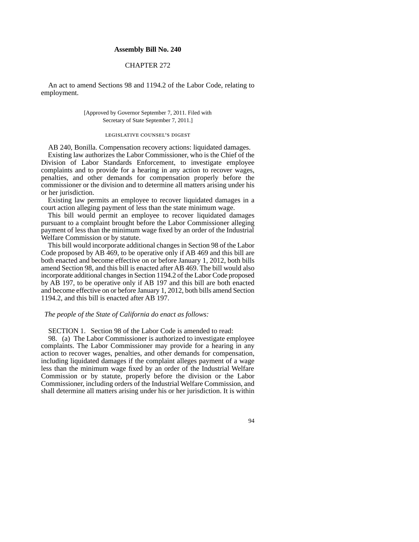## **Assembly Bill No. 240**

# CHAPTER 272

An act to amend Sections 98 and 1194.2 of the Labor Code, relating to employment.

### [Approved by Governor September 7, 2011. Filed with Secretary of State September 7, 2011.]

#### legislative counsel's digest

AB 240, Bonilla. Compensation recovery actions: liquidated damages. Existing law authorizes the Labor Commissioner, who is the Chief of the Division of Labor Standards Enforcement, to investigate employee complaints and to provide for a hearing in any action to recover wages, penalties, and other demands for compensation properly before the commissioner or the division and to determine all matters arising under his or her jurisdiction.

Existing law permits an employee to recover liquidated damages in a court action alleging payment of less than the state minimum wage.

This bill would permit an employee to recover liquidated damages pursuant to a complaint brought before the Labor Commissioner alleging payment of less than the minimum wage fixed by an order of the Industrial Welfare Commission or by statute.

This bill would incorporate additional changes in Section 98 of the Labor Code proposed by AB 469, to be operative only if AB 469 and this bill are both enacted and become effective on or before January 1, 2012, both bills amend Section 98, and this bill is enacted after AB 469. The bill would also incorporate additional changes in Section 1194.2 of the Labor Code proposed by AB 197, to be operative only if AB 197 and this bill are both enacted and become effective on or before January 1, 2012, both bills amend Section 1194.2, and this bill is enacted after AB 197.

#### *The people of the State of California do enact as follows:*

SECTION 1. Section 98 of the Labor Code is amended to read:

98. (a) The Labor Commissioner is authorized to investigate employee complaints. The Labor Commissioner may provide for a hearing in any action to recover wages, penalties, and other demands for compensation, including liquidated damages if the complaint alleges payment of a wage less than the minimum wage fixed by an order of the Industrial Welfare Commission or by statute, properly before the division or the Labor Commissioner, including orders of the Industrial Welfare Commission, and shall determine all matters arising under his or her jurisdiction. It is within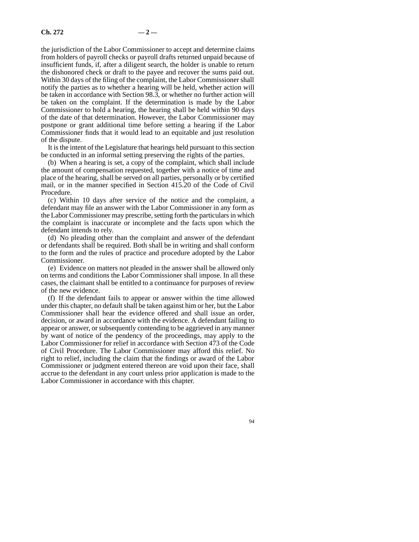the jurisdiction of the Labor Commissioner to accept and determine claims from holders of payroll checks or payroll drafts returned unpaid because of insufficient funds, if, after a diligent search, the holder is unable to return the dishonored check or draft to the payee and recover the sums paid out. Within 30 days of the filing of the complaint, the Labor Commissioner shall notify the parties as to whether a hearing will be held, whether action will be taken in accordance with Section 98.3, or whether no further action will be taken on the complaint. If the determination is made by the Labor Commissioner to hold a hearing, the hearing shall be held within 90 days of the date of that determination. However, the Labor Commissioner may postpone or grant additional time before setting a hearing if the Labor Commissioner finds that it would lead to an equitable and just resolution of the dispute.

It is the intent of the Legislature that hearings held pursuant to this section be conducted in an informal setting preserving the rights of the parties.

(b) When a hearing is set, a copy of the complaint, which shall include the amount of compensation requested, together with a notice of time and place of the hearing, shall be served on all parties, personally or by certified mail, or in the manner specified in Section 415.20 of the Code of Civil Procedure.

(c) Within 10 days after service of the notice and the complaint, a defendant may file an answer with the Labor Commissioner in any form as the Labor Commissioner may prescribe, setting forth the particulars in which the complaint is inaccurate or incomplete and the facts upon which the defendant intends to rely.

(d) No pleading other than the complaint and answer of the defendant or defendants shall be required. Both shall be in writing and shall conform to the form and the rules of practice and procedure adopted by the Labor Commissioner.

(e) Evidence on matters not pleaded in the answer shall be allowed only on terms and conditions the Labor Commissioner shall impose. In all these cases, the claimant shall be entitled to a continuance for purposes of review of the new evidence.

(f) If the defendant fails to appear or answer within the time allowed under this chapter, no default shall be taken against him or her, but the Labor Commissioner shall hear the evidence offered and shall issue an order, decision, or award in accordance with the evidence. A defendant failing to appear or answer, or subsequently contending to be aggrieved in any manner by want of notice of the pendency of the proceedings, may apply to the Labor Commissioner for relief in accordance with Section 473 of the Code of Civil Procedure. The Labor Commissioner may afford this relief. No right to relief, including the claim that the findings or award of the Labor Commissioner or judgment entered thereon are void upon their face, shall accrue to the defendant in any court unless prior application is made to the Labor Commissioner in accordance with this chapter.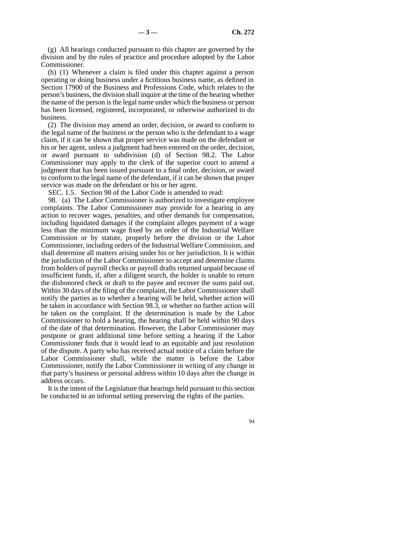(g) All hearings conducted pursuant to this chapter are governed by the division and by the rules of practice and procedure adopted by the Labor Commissioner.

(h) (1) Whenever a claim is filed under this chapter against a person operating or doing business under a fictitious business name, as defined in Section 17900 of the Business and Professions Code, which relates to the person's business, the division shall inquire at the time of the hearing whether the name of the person is the legal name under which the business or person has been licensed, registered, incorporated, or otherwise authorized to do business.

(2) The division may amend an order, decision, or award to conform to the legal name of the business or the person who is the defendant to a wage claim, if it can be shown that proper service was made on the defendant or his or her agent, unless a judgment had been entered on the order, decision, or award pursuant to subdivision (d) of Section 98.2. The Labor Commissioner may apply to the clerk of the superior court to amend a judgment that has been issued pursuant to a final order, decision, or award to conform to the legal name of the defendant, if it can be shown that proper service was made on the defendant or his or her agent.

SEC. 1.5. Section 98 of the Labor Code is amended to read:

98. (a) The Labor Commissioner is authorized to investigate employee complaints. The Labor Commissioner may provide for a hearing in any action to recover wages, penalties, and other demands for compensation, including liquidated damages if the complaint alleges payment of a wage less than the minimum wage fixed by an order of the Industrial Welfare Commission or by statute, properly before the division or the Labor Commissioner, including orders of the Industrial Welfare Commission, and shall determine all matters arising under his or her jurisdiction. It is within the jurisdiction of the Labor Commissioner to accept and determine claims from holders of payroll checks or payroll drafts returned unpaid because of insufficient funds, if, after a diligent search, the holder is unable to return the dishonored check or draft to the payee and recover the sums paid out. Within 30 days of the filing of the complaint, the Labor Commissioner shall notify the parties as to whether a hearing will be held, whether action will be taken in accordance with Section 98.3, or whether no further action will be taken on the complaint. If the determination is made by the Labor Commissioner to hold a hearing, the hearing shall be held within 90 days of the date of that determination. However, the Labor Commissioner may postpone or grant additional time before setting a hearing if the Labor Commissioner finds that it would lead to an equitable and just resolution of the dispute. A party who has received actual notice of a claim before the Labor Commissioner shall, while the matter is before the Labor Commissioner, notify the Labor Commissioner in writing of any change in that party's business or personal address within 10 days after the change in address occurs.

It is the intent of the Legislature that hearings held pursuant to this section be conducted in an informal setting preserving the rights of the parties.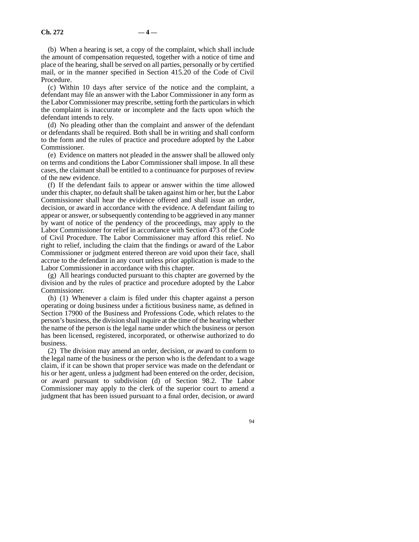(b) When a hearing is set, a copy of the complaint, which shall include the amount of compensation requested, together with a notice of time and place of the hearing, shall be served on all parties, personally or by certified mail, or in the manner specified in Section 415.20 of the Code of Civil Procedure.

(c) Within 10 days after service of the notice and the complaint, a defendant may file an answer with the Labor Commissioner in any form as the Labor Commissioner may prescribe, setting forth the particulars in which the complaint is inaccurate or incomplete and the facts upon which the defendant intends to rely.

(d) No pleading other than the complaint and answer of the defendant or defendants shall be required. Both shall be in writing and shall conform to the form and the rules of practice and procedure adopted by the Labor Commissioner.

(e) Evidence on matters not pleaded in the answer shall be allowed only on terms and conditions the Labor Commissioner shall impose. In all these cases, the claimant shall be entitled to a continuance for purposes of review of the new evidence.

(f) If the defendant fails to appear or answer within the time allowed under this chapter, no default shall be taken against him or her, but the Labor Commissioner shall hear the evidence offered and shall issue an order, decision, or award in accordance with the evidence. A defendant failing to appear or answer, or subsequently contending to be aggrieved in any manner by want of notice of the pendency of the proceedings, may apply to the Labor Commissioner for relief in accordance with Section 473 of the Code of Civil Procedure. The Labor Commissioner may afford this relief. No right to relief, including the claim that the findings or award of the Labor Commissioner or judgment entered thereon are void upon their face, shall accrue to the defendant in any court unless prior application is made to the Labor Commissioner in accordance with this chapter.

(g) All hearings conducted pursuant to this chapter are governed by the division and by the rules of practice and procedure adopted by the Labor Commissioner.

(h) (1) Whenever a claim is filed under this chapter against a person operating or doing business under a fictitious business name, as defined in Section 17900 of the Business and Professions Code, which relates to the person's business, the division shall inquire at the time of the hearing whether the name of the person is the legal name under which the business or person has been licensed, registered, incorporated, or otherwise authorized to do business.

(2) The division may amend an order, decision, or award to conform to the legal name of the business or the person who is the defendant to a wage claim, if it can be shown that proper service was made on the defendant or his or her agent, unless a judgment had been entered on the order, decision, or award pursuant to subdivision (d) of Section 98.2. The Labor Commissioner may apply to the clerk of the superior court to amend a judgment that has been issued pursuant to a final order, decision, or award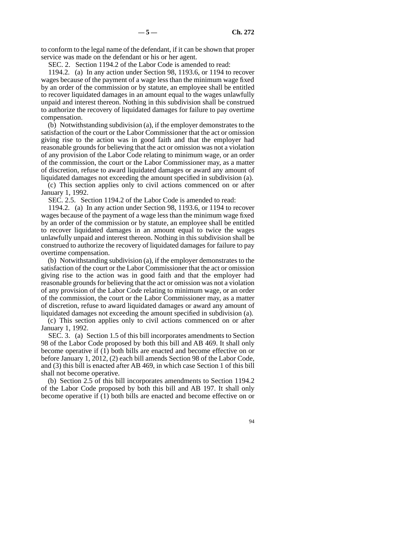to conform to the legal name of the defendant, if it can be shown that proper service was made on the defendant or his or her agent.

SEC. 2. Section 1194.2 of the Labor Code is amended to read:

1194.2. (a) In any action under Section 98, 1193.6, or 1194 to recover wages because of the payment of a wage less than the minimum wage fixed by an order of the commission or by statute, an employee shall be entitled to recover liquidated damages in an amount equal to the wages unlawfully unpaid and interest thereon. Nothing in this subdivision shall be construed to authorize the recovery of liquidated damages for failure to pay overtime compensation.

(b) Notwithstanding subdivision (a), if the employer demonstrates to the satisfaction of the court or the Labor Commissioner that the act or omission giving rise to the action was in good faith and that the employer had reasonable grounds for believing that the act or omission was not a violation of any provision of the Labor Code relating to minimum wage, or an order of the commission, the court or the Labor Commissioner may, as a matter of discretion, refuse to award liquidated damages or award any amount of liquidated damages not exceeding the amount specified in subdivision (a).

(c) This section applies only to civil actions commenced on or after January 1, 1992.

SEC. 2.5. Section 1194.2 of the Labor Code is amended to read:

1194.2. (a) In any action under Section 98, 1193.6, or 1194 to recover wages because of the payment of a wage less than the minimum wage fixed by an order of the commission or by statute, an employee shall be entitled to recover liquidated damages in an amount equal to twice the wages unlawfully unpaid and interest thereon. Nothing in this subdivision shall be construed to authorize the recovery of liquidated damages for failure to pay overtime compensation.

(b) Notwithstanding subdivision (a), if the employer demonstrates to the satisfaction of the court or the Labor Commissioner that the act or omission giving rise to the action was in good faith and that the employer had reasonable grounds for believing that the act or omission was not a violation of any provision of the Labor Code relating to minimum wage, or an order of the commission, the court or the Labor Commissioner may, as a matter of discretion, refuse to award liquidated damages or award any amount of liquidated damages not exceeding the amount specified in subdivision (a).

(c) This section applies only to civil actions commenced on or after January 1, 1992.

SEC. 3. (a) Section 1.5 of this bill incorporates amendments to Section 98 of the Labor Code proposed by both this bill and AB 469. It shall only become operative if (1) both bills are enacted and become effective on or before January 1, 2012, (2) each bill amends Section 98 of the Labor Code, and (3) this bill is enacted after AB 469, in which case Section 1 of this bill shall not become operative.

(b) Section 2.5 of this bill incorporates amendments to Section 1194.2 of the Labor Code proposed by both this bill and AB 197. It shall only become operative if (1) both bills are enacted and become effective on or